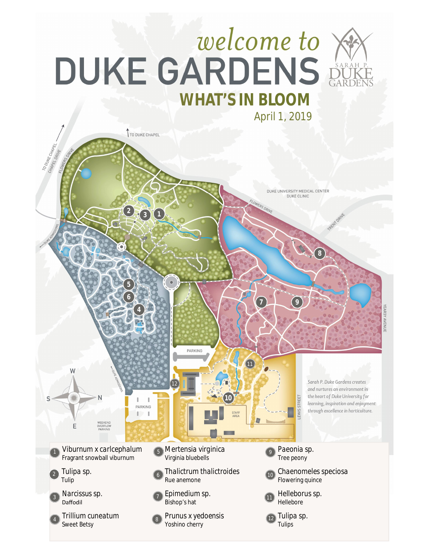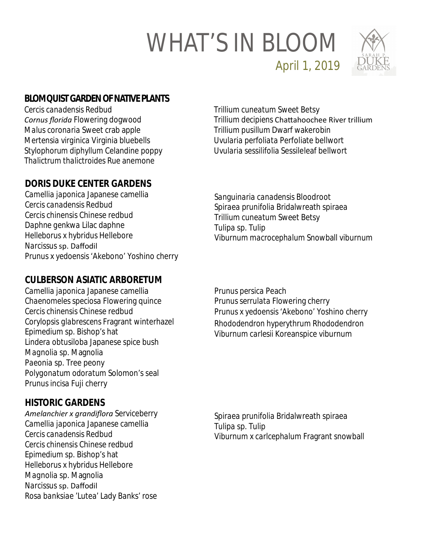

April 1, 2019

# **BLOMQUIST GARDEN OF NATIVE PLANTS**

*Cercis canadensis* Redbud *Cornus florida* Flowering dogwood *Malus coronaria* Sweet crab apple *Mertensia virginica* Virginia bluebells *Stylophorum diphyllum* Celandine poppy *Thalictrum thalictroides* Rue anemone

# **DORIS DUKE CENTER GARDENS**

*Camellia japonica* Japanese camellia *Cercis canadensis* Redbud *Cercis chinensis* Chinese redbud *Daphne genkwa* Lilac daphne *Helleborus x hybridus* Hellebore *Narcissus* sp. Daffodil *Prunus* x *yedoensis* 'Akebono' Yoshino cherry

# **CULBERSON ASIATIC ARBORETUM**

*Camellia japonica* Japanese camellia *Chaenomeles speciosa* Flowering quince *Cercis chinensis* Chinese redbud *Corylopsis glabrescens* Fragrant winterhazel *Epimedium* sp. Bishop's hat *Lindera obtusiloba* Japanese spice bush *Magnolia* sp*.* Magnolia *Paeonia* sp. Tree peony *Polygonatum odoratum* Solomon's seal *Prunus incisa* Fuji cherry

# **HISTORIC GARDENS**

*Amelanchier x grandiflora* Serviceberry *Camellia japonica* Japanese camellia *Cercis canadensis* Redbud *Cercis chinensis* Chinese redbud *Epimedium* sp. Bishop's hat *Helleborus* x *hybridus* Hellebore *Magnolia* sp. Magnolia *Narcissus* sp. Daffodil *Rosa banksiae* 'Lutea' Lady Banks' rose

*Trillium cuneatum* Sweet Betsy *Trillium decipiens* ChaƩahoochee River trillium *Trillium pusillum* Dwarf wakerobin *Uvularia perfoliata* Perfoliate bellwort *Uvularia sessilifolia* Sessileleaf bellwort

*Sanguinaria canadensis* Bloodroot *Spiraea prunifolia* Bridalwreath spiraea *Trillium cuneatum* Sweet Betsy *Tulipa* sp. Tulip *Viburnum macrocephalum* Snowball viburnum

*Prunus persica* Peach *Prunus serrulata* Flowering cherry *Prunus* x *yedoensis* 'Akebono' Yoshino cherry *Rhododendron hyperythrum* Rhododendron *Viburnum carlesii* Koreanspice viburnum

*Spiraea prunifolia* Bridalwreath spiraea *Tulipa* sp. Tulip *Viburnum* x *carlcephalum* Fragrant snowball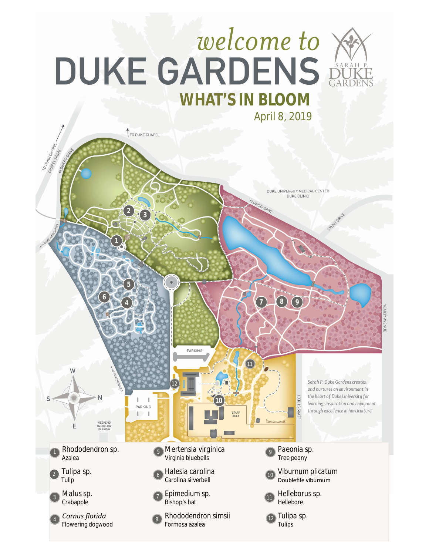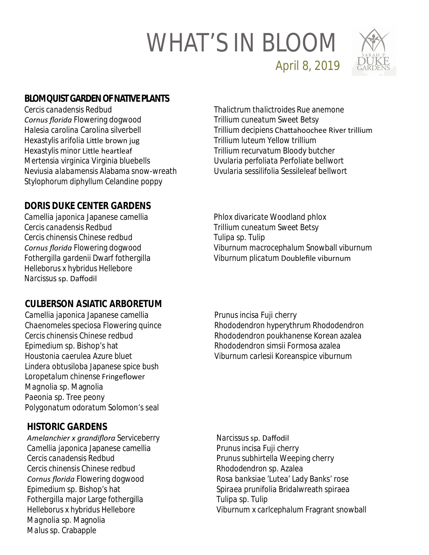

April 8, 2019

## **BLOMQUIST GARDEN OF NATIVE PLANTS**

*Cercis canadensis* Redbud *Cornus florida* Flowering dogwood *Halesia carolina* Carolina silverbell *Hexastylis arifolia* Little brown jug *Hexastylis minor* LiƩle heartleaf *Mertensia virginica* Virginia bluebells *Neviusia alabamensis* Alabama snow-wreath *Stylophorum diphyllum* Celandine poppy

#### *Thalictrum thalictroides* Rue anemone *Trillium cuneatum Sweet Betsy Trillium decipiens* ChaƩahoochee River trillium *Trillium luteum* Yellow trillium *Trillium recurvatum* Bloody butcher *Uvularia perfoliata* Perfoliate bellwort *Uvularia sessilifolia* Sessileleaf bellwort

*Phlox divaricate* Woodland phlox *Trillium cuneatum Sweet Betsy*

*Tulipa* sp. Tulip

### **DORIS DUKE CENTER GARDENS**

*Camellia japonica* Japanese camellia *Cercis canadensis* Redbud *Cercis chinensis* Chinese redbud *Cornus florida* Flowering dogwood *Fothergilla gardenii* Dwarf fothergilla *Helleborus x hybridus* Hellebore *Narcissus* sp. Daffodil

### **CULBERSON ASIATIC ARBORETUM**

*Camellia japonica* Japanese camellia *Chaenomeles speciosa* Flowering quince *Cercis chinensis* Chinese redbud *Epimedium* sp. Bishop's hat *Houstonia caerulea* Azure bluet *Lindera obtusiloba* Japanese spice bush *Loropetalum chinense* Fringeflower *Magnolia* sp*.* Magnolia *Paeonia* sp. Tree peony *Polygonatum odoratum* Solomon's seal

### **HISTORIC GARDENS**

*Amelanchier x grandiflora* Serviceberry *Camellia japonica* Japanese camellia *Cercis canadensis* Redbud *Cercis chinensis* Chinese redbud *Cornus florida* Flowering dogwood *Epimedium* sp. Bishop's hat *Fothergilla major* Large fothergilla *Helleborus* x *hybridus* Hellebore *Magnolia* sp. Magnolia *Malus* sp. Crabapple

*Prunus incisa* Fuji cherry *Rhododendron hyperythrum* Rhododendron *Rhododendron poukhanense* Korean azalea *Rhododendron simsii* Formosa azalea *Viburnum carlesii* Koreanspice viburnum

*Viburnum macrocephalum* Snowball viburnum

*Viburnum plicatum* Doublefile viburnum

*Narcissus* sp. Daffodil *Prunus incisa* Fuji cherry *Prunus subhirtella* Weeping cherry *Rhododendron* sp. Azalea *Rosa banksiae* 'Lutea' Lady Banks' rose *Spiraea prunifolia* Bridalwreath spiraea *Tulipa* sp. Tulip *Viburnum* x *carlcephalum* Fragrant snowball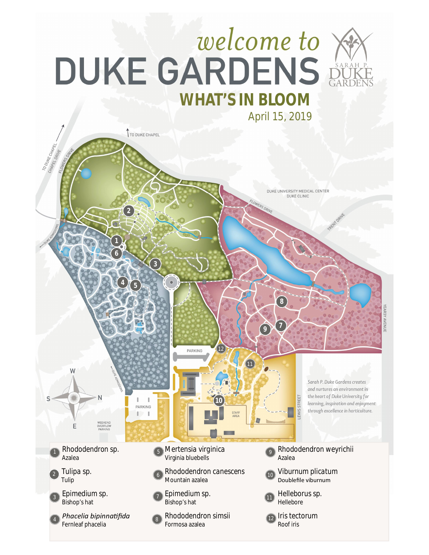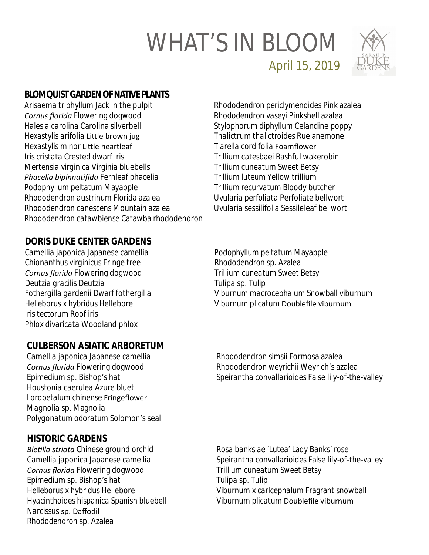

April 15, 2019

### **BLOMQUIST GARDEN OF NATIVE PLANTS**

*Arisaema triphyllum* Jack in the pulpit *Cornus florida* Flowering dogwood *Halesia carolina* Carolina silverbell *Hexastylis arifolia* Little brown jug *Hexastylis minor* LiƩle heartleaf *Iris cristata* Crested dwarf iris *Mertensia virginica* Virginia bluebells *Phacelia bipinnaƟfida* Fernleaf phacelia *Podophyllum peltatum* Mayapple *Rhododendron austrinum* Florida azalea *Rhododendron canescens* Mountain azalea *Rhododendron catawbiense* Catawba rhododendron *Rhododendron periclymenoides* Pink azalea *Rhododendron vaseyi* Pinkshell azalea *Stylophorum diphyllum* Celandine poppy *Thalictrum thalictroides* Rue anemone *Tiarella cordifolia* Foamflower *Trillium catesbaei* Bashful wakerobin *Trillium cuneatum Sweet Betsy Trillium luteum* Yellow trillium *Trillium recurvatum* Bloody butcher *Uvularia perfoliata* Perfoliate bellwort *Uvularia sessilifolia* Sessileleaf bellwort

*Podophyllum peltatum* Mayapple

*Trillium cuneatum Sweet Betsy*

*Rhododendron* sp. Azalea

*Tulipa* sp. Tulip

#### **DORIS DUKE CENTER GARDENS**

*Camellia japonica* Japanese camellia *Chionanthus virginicus* Fringe tree *Cornus florida* Flowering dogwood *Deutzia gracilis* Deutzia *Fothergilla gardenii* Dwarf fothergilla *Helleborus x hybridus* Hellebore *Iris tectorum* Roof iris *Phlox divaricata* Woodland phlox

#### **CULBERSON ASIATIC ARBORETUM**

*Camellia japonica* Japanese camellia *Cornus florida* Flowering dogwood *Epimedium* sp. Bishop's hat *Houstonia caerulea* Azure bluet *Loropetalum chinense* Fringeflower *Magnolia* sp*.* Magnolia *Polygonatum odoratum* Solomon's seal *Viburnum macrocephalum* Snowball viburnum *Viburnum plicatum* Doublefile viburnum

*Rhododendron simsii* Formosa azalea *Rhododendron weyrichii* Weyrich's azalea *Speirantha convallarioides* False lily-of-the-valley

#### **HISTORIC GARDENS**

*BleƟlla striata* Chinese ground orchid *Camellia japonica* Japanese camellia *Cornus florida* Flowering dogwood *Epimedium* sp. Bishop's hat *Helleborus* x *hybridus* Hellebore *Hyacinthoides hispanica* Spanish bluebell *Narcissus* sp. Daffodil *Rhododendron* sp. Azalea

*Rosa banksiae* 'Lutea' Lady Banks' rose *Speirantha convallarioides* False lily-of-the-valley *Trillium cuneatum Sweet Betsy Tulipa* sp. Tulip *Viburnum* x *carlcephalum* Fragrant snowball *Viburnum plicatum* Doublefile viburnum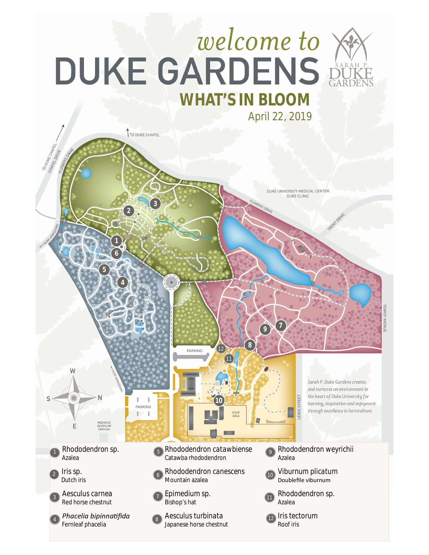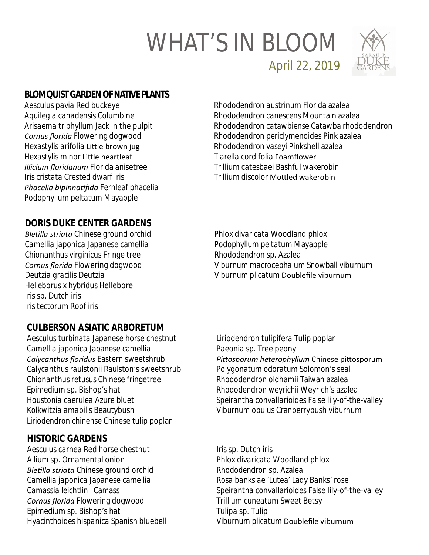

April 22, 2019

### **BLOMQUIST GARDEN OF NATIVE PLANTS**

*Aesculus pavia* Red buckeye *Aquilegia canadensis* Columbine *Arisaema triphyllum* Jack in the pulpit *Cornus florida* Flowering dogwood *Hexastylis arifolia* LiƩle brown jug **Hexastylis minor Little heartleaf** *Illicium floridanum* Florida anisetree *Iris cristata* Crested dwarf iris *Phacelia bipinnaƟfida* Fernleaf phacelia *Podophyllum peltatum* Mayapple

*Rhododendron austrinum* Florida azalea *Rhododendron canescens* Mountain azalea *Rhododendron catawbiense* Catawba rhododendron *Rhododendron periclymenoides* Pink azalea *Rhododendron vaseyi* Pinkshell azalea *Tiarella cordifolia* Foamflower *Trillium catesbaei* Bashful wakerobin *Trillium discolor* MoƩled wakerobin

*Phlox divaricata* Woodland phlox *Podophyllum peltatum* Mayapple

*Rhododendron* sp. Azalea

#### **DORIS DUKE CENTER GARDENS**

*BleƟlla striata* Chinese ground orchid *Camellia japonica* Japanese camellia *Chionanthus virginicus* Fringe tree *Cornus florida* Flowering dogwood *Deutzia gracilis* Deutzia *Helleborus x hybridus* Hellebore *Iris* sp. Dutch iris *Iris tectorum* Roof iris

#### **CULBERSON ASIATIC ARBORETUM**

*Aesculus turbinata* Japanese horse chestnut *Camellia japonica* Japanese camellia *Calycanthus floridus* Eastern sweetshrub *Calycanthus raulstonii* Raulston's sweetshrub *Chionanthus retusus* Chinese fringetree *Epimedium* sp. Bishop's hat *Houstonia caerulea* Azure bluet *Kolkwitzia amabilis* Beautybush *Liriodendron chinense* Chinese tulip poplar

#### **HISTORIC GARDENS**

*Aesculus carnea* Red horse chestnut *Allium* sp. Ornamental onion *BleƟlla striata* Chinese ground orchid *Camellia japonica* Japanese camellia *Camassia leichtlinii* Camass *Cornus florida* Flowering dogwood *Epimedium* sp. Bishop's hat *Hyacinthoides hispanica* Spanish bluebell *Liriodendron tulipifera* Tulip poplar *Paeonia* sp. Tree peony Pittosporum heterophyllum Chinese pittosporum *Polygonatum odoratum* Solomon's seal *Rhododendron oldhamii* Taiwan azalea *Rhododendron weyrichii* Weyrich's azalea *Speirantha convallarioides* False lily-of-the-valley *Viburnum opulus* Cranberrybush viburnum

*Viburnum macrocephalum* Snowball viburnum

*Viburnum plicatum* Doublefile viburnum

*Iris* sp. Dutch iris *Phlox divaricata* Woodland phlox *Rhododendron* sp. Azalea *Rosa banksiae* 'Lutea' Lady Banks' rose *Speirantha convallarioides* False lily-of-the-valley *Trillium cuneatum* Sweet Betsy *Tulipa* sp. Tulip *Viburnum plicatum* Doublefile viburnum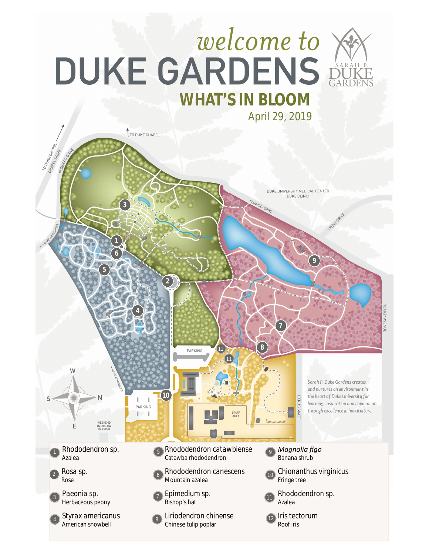